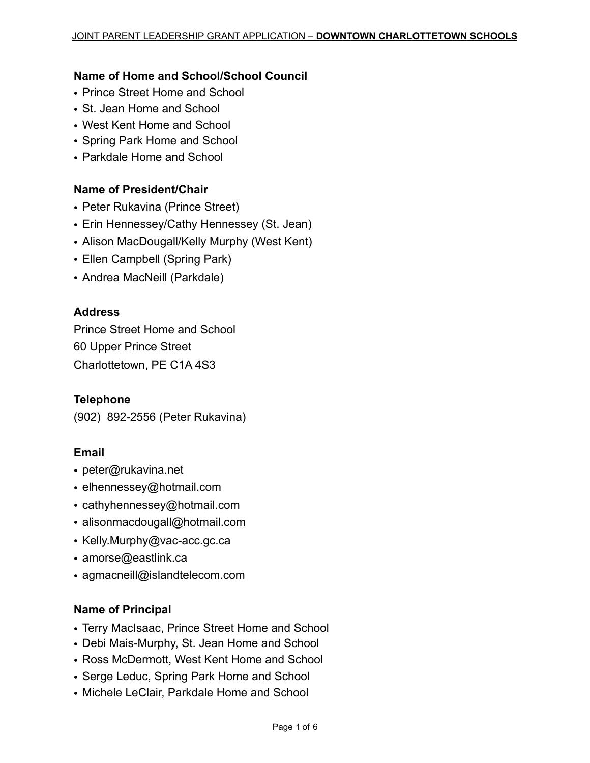### **Name of Home and School/School Council**

- Prince Street Home and School
- St. Jean Home and School
- West Kent Home and School
- Spring Park Home and School
- Parkdale Home and School

### **Name of President/Chair**

- Peter Rukavina (Prince Street)
- Erin Hennessey/Cathy Hennessey (St. Jean)
- Alison MacDougall/Kelly Murphy (West Kent)
- Ellen Campbell (Spring Park)
- Andrea MacNeill (Parkdale)

### **Address**

Prince Street Home and School 60 Upper Prince Street Charlottetown, PE C1A 4S3

#### **Telephone**

(902) 892-2556 (Peter Rukavina)

### **Email**

- peter@rukavina.net
- elhennessey@hotmail.com
- cathyhennessey@hotmail.com
- alisonmacdougall@hotmail.com
- Kelly.Murphy@vac-acc.gc.ca
- amorse@eastlink.ca
- agmacneill@islandtelecom.com

#### **Name of Principal**

- Terry MacIsaac, Prince Street Home and School
- Debi Mais-Murphy, St. Jean Home and School
- Ross McDermott, West Kent Home and School
- Serge Leduc, Spring Park Home and School
- Michele LeClair, Parkdale Home and School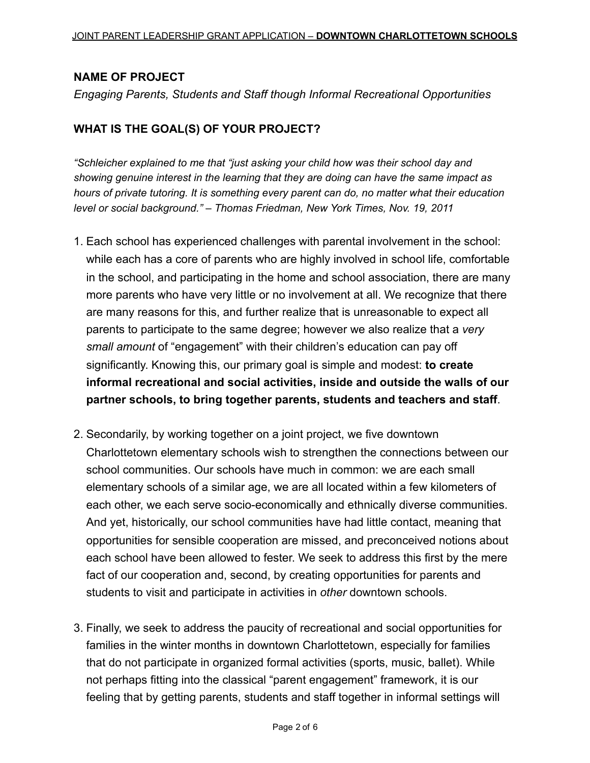### **NAME OF PROJECT**

*Engaging Parents, Students and Staff though Informal Recreational Opportunities*

### **WHAT IS THE GOAL(S) OF YOUR PROJECT?**

*"Schleicher explained to me that "just asking your child how was their school day and showing genuine interest in the learning that they are doing can have the same impact as hours of private tutoring. It is something every parent can do, no matter what their education level or social background." – Thomas Friedman, New York Times, Nov. 19, 2011*

- 1. Each school has experienced challenges with parental involvement in the school: while each has a core of parents who are highly involved in school life, comfortable in the school, and participating in the home and school association, there are many more parents who have very little or no involvement at all. We recognize that there are many reasons for this, and further realize that is unreasonable to expect all parents to participate to the same degree; however we also realize that a *very small amount* of "engagement" with their children's education can pay off significantly. Knowing this, our primary goal is simple and modest: **to create informal recreational and social activities, inside and outside the walls of our partner schools, to bring together parents, students and teachers and staff**.
- 2. Secondarily, by working together on a joint project, we five downtown Charlottetown elementary schools wish to strengthen the connections between our school communities. Our schools have much in common: we are each small elementary schools of a similar age, we are all located within a few kilometers of each other, we each serve socio-economically and ethnically diverse communities. And yet, historically, our school communities have had little contact, meaning that opportunities for sensible cooperation are missed, and preconceived notions about each school have been allowed to fester. We seek to address this first by the mere fact of our cooperation and, second, by creating opportunities for parents and students to visit and participate in activities in *other* downtown schools.
- 3. Finally, we seek to address the paucity of recreational and social opportunities for families in the winter months in downtown Charlottetown, especially for families that do not participate in organized formal activities (sports, music, ballet). While not perhaps fitting into the classical "parent engagement" framework, it is our feeling that by getting parents, students and staff together in informal settings will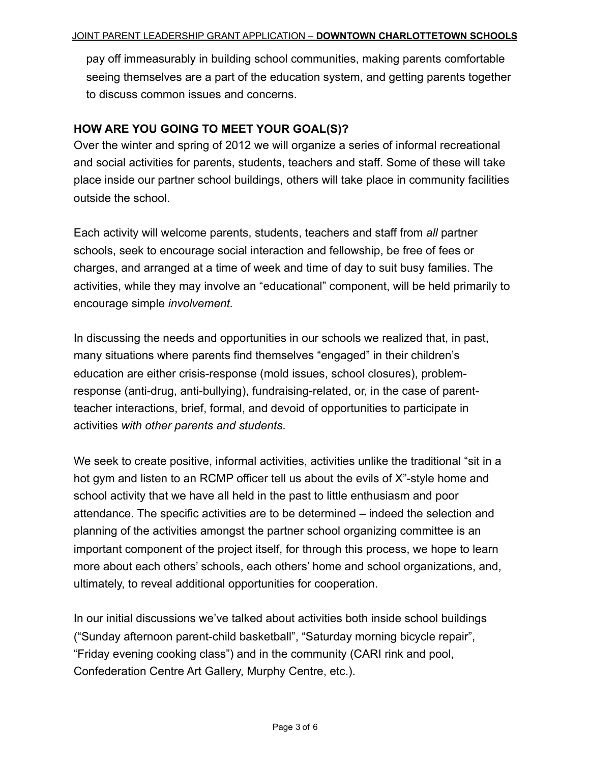pay off immeasurably in building school communities, making parents comfortable seeing themselves are a part of the education system, and getting parents together to discuss common issues and concerns.

### **HOW ARE YOU GOING TO MEET YOUR GOAL(S)?**

Over the winter and spring of 2012 we will organize a series of informal recreational and social activities for parents, students, teachers and staff. Some of these will take place inside our partner school buildings, others will take place in community facilities outside the school.

Each activity will welcome parents, students, teachers and staff from *all* partner schools, seek to encourage social interaction and fellowship, be free of fees or charges, and arranged at a time of week and time of day to suit busy families. The activities, while they may involve an "educational" component, will be held primarily to encourage simple *involvement.* 

In discussing the needs and opportunities in our schools we realized that, in past, many situations where parents find themselves "engaged" in their children's education are either crisis-response (mold issues, school closures), problemresponse (anti-drug, anti-bullying), fundraising-related, or, in the case of parentteacher interactions, brief, formal, and devoid of opportunities to participate in activities *with other parents and students*.

We seek to create positive, informal activities, activities unlike the traditional "sit in a hot gym and listen to an RCMP officer tell us about the evils of X"-style home and school activity that we have all held in the past to little enthusiasm and poor attendance. The specific activities are to be determined – indeed the selection and planning of the activities amongst the partner school organizing committee is an important component of the project itself, for through this process, we hope to learn more about each others' schools, each others' home and school organizations, and, ultimately, to reveal additional opportunities for cooperation.

In our initial discussions we've talked about activities both inside school buildings ("Sunday afternoon parent-child basketball", "Saturday morning bicycle repair", "Friday evening cooking class") and in the community (CARI rink and pool, Confederation Centre Art Gallery, Murphy Centre, etc.).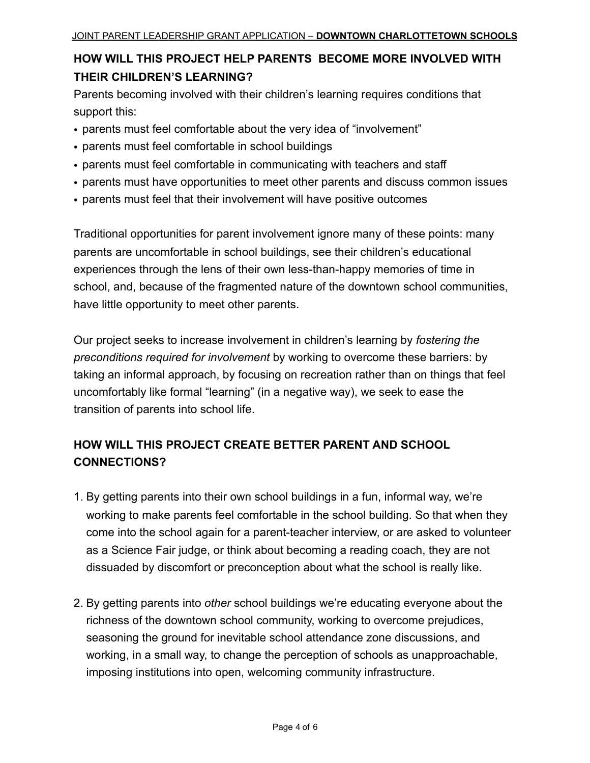# **HOW WILL THIS PROJECT HELP PARENTS BECOME MORE INVOLVED WITH THEIR CHILDREN'S LEARNING?**

Parents becoming involved with their children's learning requires conditions that support this:

- parents must feel comfortable about the very idea of "involvement"
- parents must feel comfortable in school buildings
- parents must feel comfortable in communicating with teachers and staff
- parents must have opportunities to meet other parents and discuss common issues
- parents must feel that their involvement will have positive outcomes

Traditional opportunities for parent involvement ignore many of these points: many parents are uncomfortable in school buildings, see their children's educational experiences through the lens of their own less-than-happy memories of time in school, and, because of the fragmented nature of the downtown school communities, have little opportunity to meet other parents.

Our project seeks to increase involvement in children's learning by *fostering the preconditions required for involvement* by working to overcome these barriers: by taking an informal approach, by focusing on recreation rather than on things that feel uncomfortably like formal "learning" (in a negative way), we seek to ease the transition of parents into school life.

# **HOW WILL THIS PROJECT CREATE BETTER PARENT AND SCHOOL CONNECTIONS?**

- 1. By getting parents into their own school buildings in a fun, informal way, we're working to make parents feel comfortable in the school building. So that when they come into the school again for a parent-teacher interview, or are asked to volunteer as a Science Fair judge, or think about becoming a reading coach, they are not dissuaded by discomfort or preconception about what the school is really like.
- 2. By getting parents into *other* school buildings we're educating everyone about the richness of the downtown school community, working to overcome prejudices, seasoning the ground for inevitable school attendance zone discussions, and working, in a small way, to change the perception of schools as unapproachable, imposing institutions into open, welcoming community infrastructure.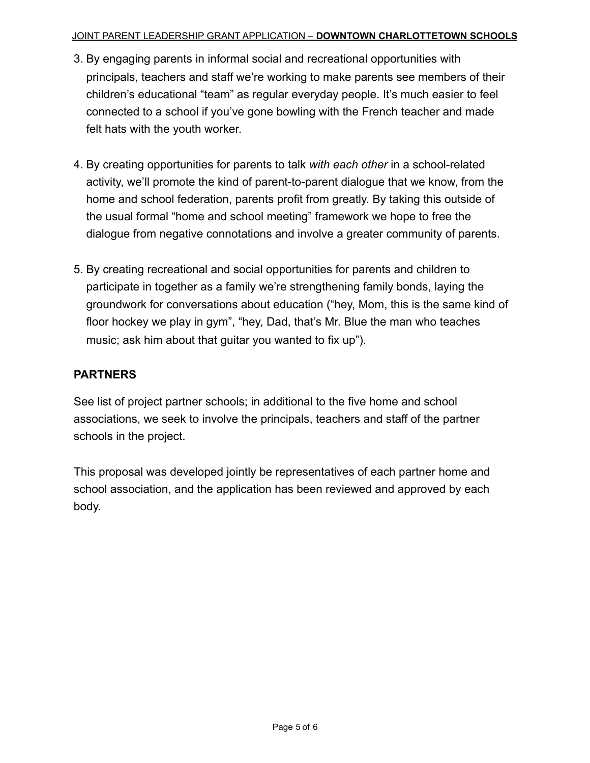#### JOINT PARENT LEADERSHIP GRANT APPLICATION – **DOWNTOWN CHARLOTTETOWN SCHOOLS**

- 3. By engaging parents in informal social and recreational opportunities with principals, teachers and staff we're working to make parents see members of their children's educational "team" as regular everyday people. It's much easier to feel connected to a school if you've gone bowling with the French teacher and made felt hats with the youth worker.
- 4. By creating opportunities for parents to talk *with each other* in a school-related activity, we'll promote the kind of parent-to-parent dialogue that we know, from the home and school federation, parents profit from greatly. By taking this outside of the usual formal "home and school meeting" framework we hope to free the dialogue from negative connotations and involve a greater community of parents.
- 5. By creating recreational and social opportunities for parents and children to participate in together as a family we're strengthening family bonds, laying the groundwork for conversations about education ("hey, Mom, this is the same kind of floor hockey we play in gym", "hey, Dad, that's Mr. Blue the man who teaches music; ask him about that guitar you wanted to fix up").

### **PARTNERS**

See list of project partner schools; in additional to the five home and school associations, we seek to involve the principals, teachers and staff of the partner schools in the project.

This proposal was developed jointly be representatives of each partner home and school association, and the application has been reviewed and approved by each body.